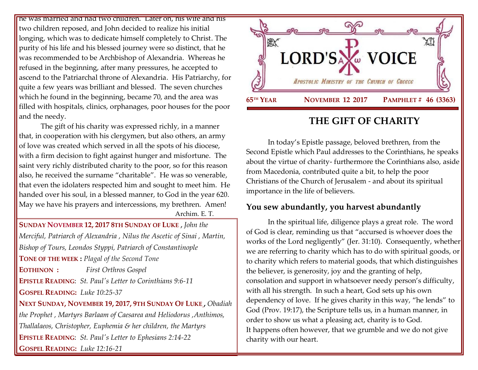he was married and had two children. Later on, his wife and his two children reposed, and John decided to realize his initial I longing, which was to dedicate himself completely to Christ. The purity of his life and his blessed journey were so distinct, that he was recommended to be Archbishop of Alexandria. Whereas he refused in the beginning, after many pressures, he accepted to ascend to the Patriarchal throne of Alexandria. His Patriarchy, for quite a few years was brilliant and blessed. The seven churches which he found in the beginning, became 70, and the area was filled with hospitals, clinics, orphanages, poor houses for the poor and the needy.

The gift of his charity was expressed richly, in a manner that, in cooperation with his clergymen, but also others, an army of love was created which served in all the spots of his diocese, with a firm decision to fight against hunger and misfortune. The saint very richly distributed charity to the poor, so for this reason also, he received the surname "charitable". He was so venerable, that even the idolaters respected him and sought to meet him. He handed over his soul, in a blessed manner, to God in the year 620. May we have his prayers and intercessions, my brethren. Amen!

Archim. E. T.

**SUNDAY NOVEMBER 12, 2017 8TH S[UNDAY OF](https://www.goarch.org/chapel/saints?contentid=978&PCode=8LS&D=S&date=11/12/2017) LUKE ,** *[John the](https://www.goarch.org/chapel/saints?contentid=288)  [Merciful, Patriarch of Alexandria](https://www.goarch.org/chapel/saints?contentid=288) , [Nilus the Ascetic of Sinai](https://www.goarch.org/chapel/saints?contentid=289) , [Martin,](https://www.goarch.org/chapel/saints?contentid=2369)  [Bishop of Tours, Leondos Styppi, Patriarch of Constantinople](https://www.goarch.org/chapel/saints?contentid=2369)* **TONE OF THE WEEK :** *Plagal of the Second Tone* **EOTHINON :** *First Orthros Gospel* **EPISTLE READING**: *St. Paul's Letter [to Corinthians 9:6-11](https://www.goarch.org/chapel/lectionary?type=epistle&code=27&event=940&date=5/28/2017)* **GOSPEL R[EADING](https://www.goarch.org/chapel/lectionary?type=gospel&code=43&event=940&date=5/28/2017):** *Luke 10:25-37* **NEXT SUNDAY, NOVEMBER 19, 2017, 9TH S[UNDAY](https://www.goarch.org/chapel/saints?contentid=992&PCode=9LS&D=S&date=11/19/2017) OF LUKE ,** *[Obadiah](https://www.goarch.org/chapel/saints?contentid=297)  [the Prophet ,](https://www.goarch.org/chapel/saints?contentid=297) [Martyrs Barlaam of Caesarea and Heliodorus ,](https://www.goarch.org/chapel/saints?contentid=298)Anthimos, Thallalaeos, Christopher, Euphemia & her children, the Martyrs* **EPISTLE READING**: *St. Paul's Letter [to Ephesians 2:14-22](https://www.goarch.org/chapel/lectionary?type=epistle&code=27&event=940&date=5/28/2017)* **GOSPEL R[EADING](https://www.goarch.org/chapel/lectionary?type=gospel&code=43&event=940&date=5/28/2017):** *Luke 12:16-21*



## **THE GIFT OF CHARITY**

In today's Epistle passage, beloved brethren, from the Second Epistle which Paul addresses to the Corinthians, he speaks about the virtue of charity- furthermore the Corinthians also, aside from Macedonia, contributed quite a bit, to help the poor Christians of the Church of Jerusalem - and about its spiritual importance in the life of believers.

## **You sew abundantly, you harvest abundantly**

In the spiritual life, diligence plays a great role. The word of God is clear, reminding us that "accursed is whoever does the works of the Lord negligently" (Jer. 31:10). Consequently, whether we are referring to charity which has to do with spiritual goods, or to charity which refers to material goods, that which distinguishes the believer, is generosity, joy and the granting of help, consolation and support in whatsoever needy person's difficulty, with all his strength. In such a heart, God sets up his own dependency of love. If he gives charity in this way, "he lends" to God (Prov. 19:17), the Scripture tells us, in a human manner, in order to show us what a pleasing act, charity is to God. It happens often however, that we grumble and we do not give charity with our heart.